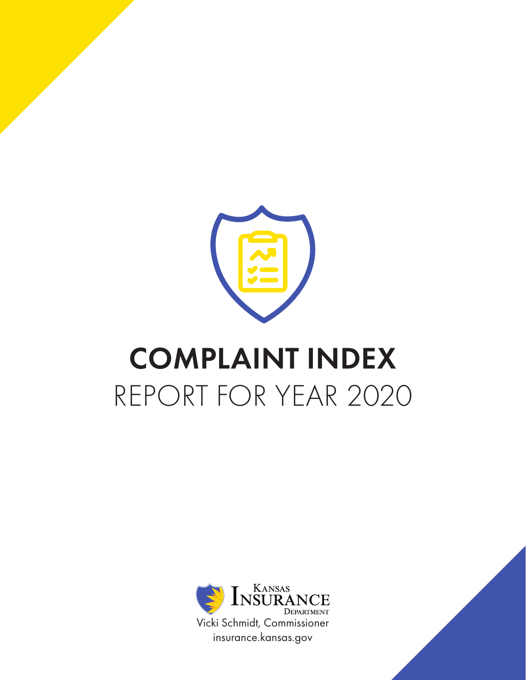

# COMPLAINT INDEX REPORT FOR YEAR 2020



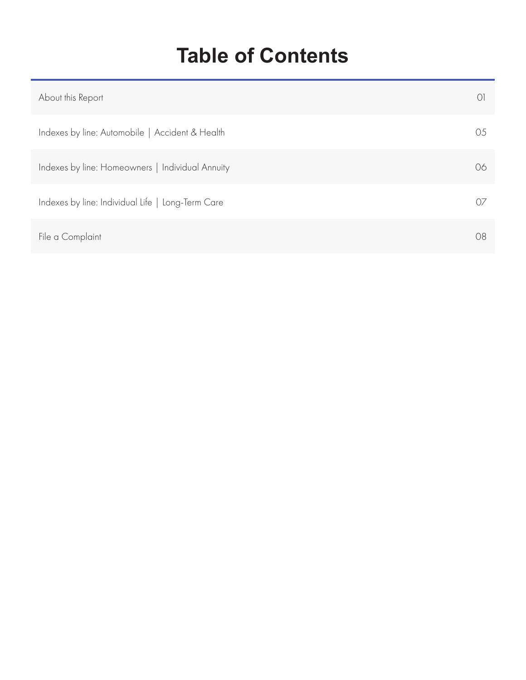### **Table of Contents**

| About this Report                                 | $\sigma$ |
|---------------------------------------------------|----------|
| Indexes by line: Automobile   Accident & Health   | ( ).5    |
| Indexes by line: Homeowners   Individual Annuity  | ()6      |
| Indexes by line: Individual Life   Long-Term Care | OZ       |
| File a Complaint                                  | 08       |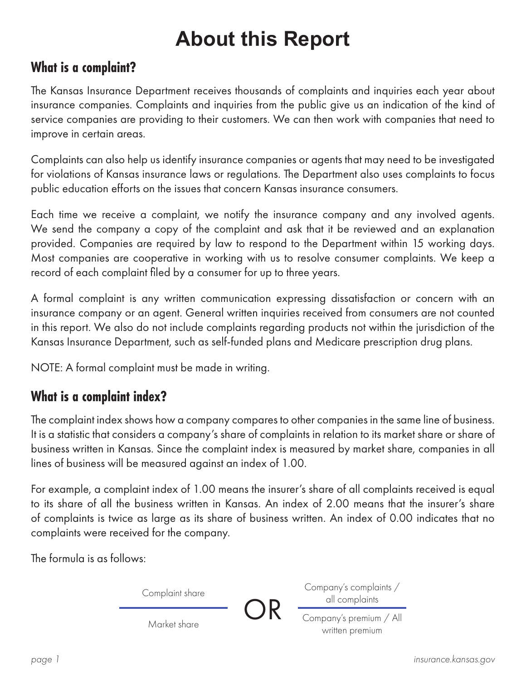# **About this Report**

### **What is a complaint?**

The Kansas Insurance Department receives thousands of complaints and inquiries each year about insurance companies. Complaints and inquiries from the public give us an indication of the kind of service companies are providing to their customers. We can then work with companies that need to improve in certain areas.

Complaints can also help us identify insurance companies or agents that may need to be investigated for violations of Kansas insurance laws or regulations. The Department also uses complaints to focus public education efforts on the issues that concern Kansas insurance consumers.

Each time we receive a complaint, we notify the insurance company and any involved agents. We send the company a copy of the complaint and ask that it be reviewed and an explanation provided. Companies are required by law to respond to the Department within 15 working days. Most companies are cooperative in working with us to resolve consumer complaints. We keep a record of each complaint filed by a consumer for up to three years.

A formal complaint is any written communication expressing dissatisfaction or concern with an insurance company or an agent. General written inquiries received from consumers are not counted in this report. We also do not include complaints regarding products not within the jurisdiction of the Kansas Insurance Department, such as self-funded plans and Medicare prescription drug plans.

NOTE: A formal complaint must be made in writing.

### **What is a complaint index?**

The complaint index shows how a company compares to other companies in the same line of business. It is a statistic that considers a company's share of complaints in relation to its market share or share of business written in Kansas. Since the complaint index is measured by market share, companies in all lines of business will be measured against an index of 1.00.

For example, a complaint index of 1.00 means the insurer's share of all complaints received is equal to its share of all the business written in Kansas. An index of 2.00 means that the insurer's share of complaints is twice as large as its share of business written. An index of 0.00 indicates that no complaints were received for the company.

The formula is as follows:

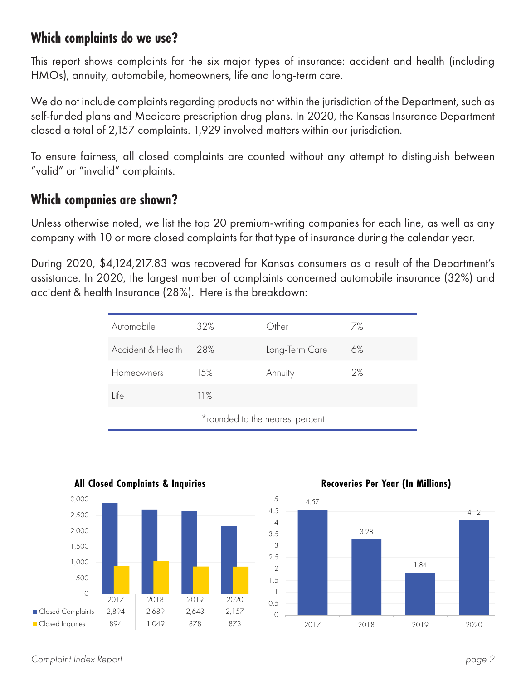### **Which complaints do we use?**

This report shows complaints for the six major types of insurance: accident and health (including HMOs), annuity, automobile, homeowners, life and long-term care.

We do not include complaints regarding products not within the jurisdiction of the Department, such as self-funded plans and Medicare prescription drug plans. In 2020, the Kansas Insurance Department closed a total of 2,157 complaints. 1,929 involved matters within our jurisdiction.

To ensure fairness, all closed complaints are counted without any attempt to distinguish between "valid" or "invalid" complaints.

#### **Which companies are shown?**

Unless otherwise noted, we list the top 20 premium-writing companies for each line, as well as any company with 10 or more closed complaints for that type of insurance during the calendar year.

During 2020, \$4,124,217.83 was recovered for Kansas consumers as a result of the Department's assistance. In 2020, the largest number of complaints concerned automobile insurance (32%) and accident & health Insurance (28%). Here is the breakdown:

| Automobile                      | 32% | Other          | 7% |
|---------------------------------|-----|----------------|----|
| Accident & Health               | 28% | Long-Term Care | 6% |
| Homeowners                      | 15% | Annuity        | 2% |
| Life                            | 11% |                |    |
| *rounded to the nearest percent |     |                |    |





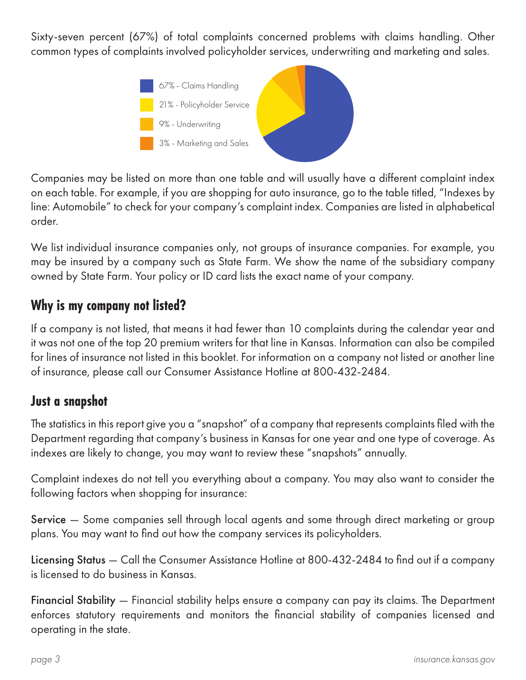Sixty-seven percent (67%) of total complaints concerned problems with claims handling. Other common types of complaints involved policyholder services, underwriting and marketing and sales.



Companies may be listed on more than one table and will usually have a different complaint index on each table. For example, if you are shopping for auto insurance, go to the table titled, "Indexes by line: Automobile" to check for your company's complaint index. Companies are listed in alphabetical order.

We list individual insurance companies only, not groups of insurance companies. For example, you may be insured by a company such as State Farm. We show the name of the subsidiary company owned by State Farm. Your policy or ID card lists the exact name of your company.

### **Why is my company not listed?**

If a company is not listed, that means it had fewer than 10 complaints during the calendar year and it was not one of the top 20 premium writers for that line in Kansas. Information can also be compiled for lines of insurance not listed in this booklet. For information on a company not listed or another line of insurance, please call our Consumer Assistance Hotline at 800-432-2484.

### **Just a snapshot**

The statistics in this report give you a "snapshot" of a company that represents complaints filed with the Department regarding that company's business in Kansas for one year and one type of coverage. As indexes are likely to change, you may want to review these "snapshots" annually.

Complaint indexes do not tell you everything about a company. You may also want to consider the following factors when shopping for insurance:

Service — Some companies sell through local agents and some through direct marketing or group plans. You may want to find out how the company services its policyholders.

Licensing Status — Call the Consumer Assistance Hotline at 800-432-2484 to find out if a company is licensed to do business in Kansas.

Financial Stability — Financial stability helps ensure a company can pay its claims. The Department enforces statutory requirements and monitors the financial stability of companies licensed and operating in the state.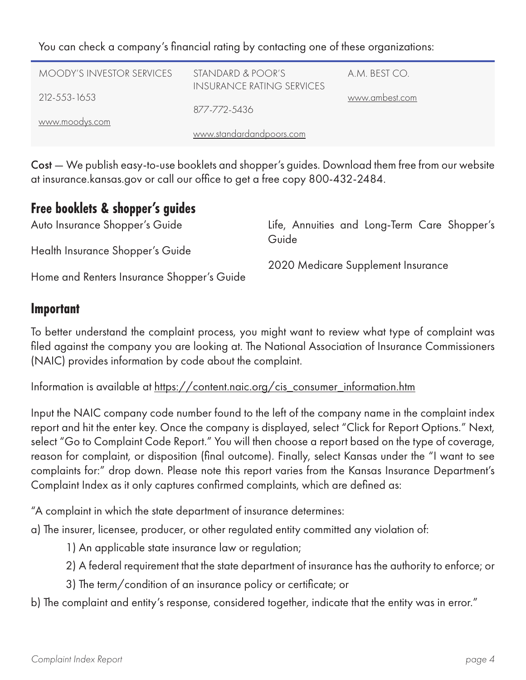| <b>MOODY'S INVESTOR SERVICES</b> | STANDARD & POOR'S<br>INSURANCE RATING SERVICES | A.M. BEST CO.  |
|----------------------------------|------------------------------------------------|----------------|
| 212-553-1653                     |                                                | www.ambest.com |
|                                  | 877-772-5436                                   |                |
| www.moodys.com                   |                                                |                |
|                                  | www.standardandpoors.com                       |                |

You can check a company's financial rating by contacting one of these organizations:

Cost — We publish easy-to-use booklets and shopper's guides. Download them free from our website at insurance.kansas.gov or call our office to get a free copy 800-432-2484.

### **Free booklets & shopper's guides**

Auto Insurance Shopper's Guide Health Insurance Shopper's Guide Home and Renters Insurance Shopper's Guide Life, Annuities and Long-Term Care Shopper's Guide 2020 Medicare Supplement Insurance

#### **Important**

To better understand the complaint process, you might want to review what type of complaint was filed against the company you are looking at. The National Association of Insurance Commissioners (NAIC) provides information by code about the complaint.

Information is available at https://content.naic.org/cis\_consumer\_information.htm

Input the NAIC company code number found to the left of the company name in the complaint index report and hit the enter key. Once the company is displayed, select "Click for Report Options." Next, select "Go to Complaint Code Report." You will then choose a report based on the type of coverage, reason for complaint, or disposition (final outcome). Finally, select Kansas under the "I want to see complaints for:" drop down. Please note this report varies from the Kansas Insurance Department's Complaint Index as it only captures confirmed complaints, which are defined as:

"A complaint in which the state department of insurance determines:

a) The insurer, licensee, producer, or other regulated entity committed any violation of:

- 1) An applicable state insurance law or regulation;
- 2) A federal requirement that the state department of insurance has the authority to enforce; or
- 3) The term/condition of an insurance policy or certificate; or

b) The complaint and entity's response, considered together, indicate that the entity was in error."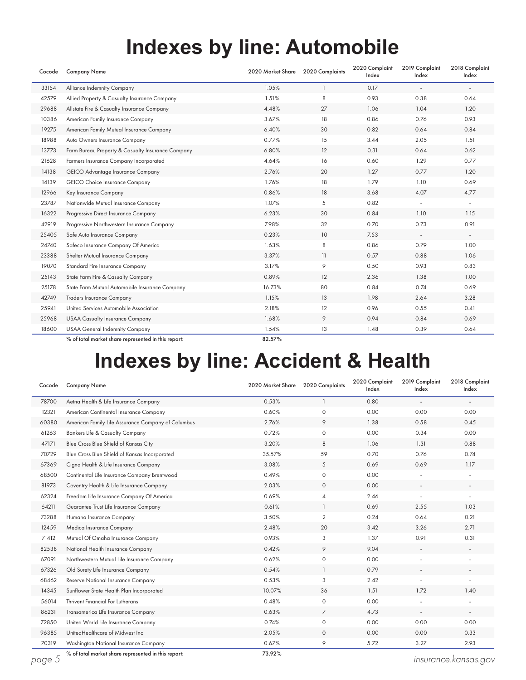# **Indexes by line: Automobile**

| Cocode | <b>Company Name</b>                                 | 2020 Market Share | 2020 Complaints | 2020 Complaint<br>Index | 2019 Complaint<br>Index | 2018 Complaint<br>Index |
|--------|-----------------------------------------------------|-------------------|-----------------|-------------------------|-------------------------|-------------------------|
| 33154  | Alliance Indemnity Company                          | 1.05%             | $\mathbf{1}$    | 0.17                    |                         |                         |
| 42579  | Allied Property & Casualty Insurance Company        | 1.51%             | 8               | 0.93                    | 0.38                    | 0.64                    |
| 29688  | Allstate Fire & Casualty Insurance Company          | 4.48%             | 27              | 1.06                    | 1.04                    | 1.20                    |
| 10386  | American Family Insurance Company                   | 3.67%             | 18              | 0.86                    | 0.76                    | 0.93                    |
| 19275  | American Family Mutual Insurance Company            | 6.40%             | 30              | 0.82                    | 0.64                    | 0.84                    |
| 18988  | Auto Owners Insurance Company                       | 0.77%             | 15              | 3.44                    | 2.05                    | 1.51                    |
| 13773  | Farm Bureau Property & Casualty Insurance Company   | 6.80%             | 12              | 0.31                    | 0.64                    | 0.62                    |
| 21628  | Farmers Insurance Company Incorporated              | 4.64%             | 16              | 0.60                    | 1.29                    | 0.77                    |
| 14138  | GEICO Advantage Insurance Company                   | 2.76%             | 20              | 1.27                    | 0.77                    | 1.20                    |
| 14139  | <b>GEICO Choice Insurance Company</b>               | 1.76%             | 18              | 1.79                    | 1.10                    | 0.69                    |
| 12966  | Key Insurance Company                               | 0.86%             | 18              | 3.68                    | 4.07                    | 4.77                    |
| 23787  | Nationwide Mutual Insurance Company                 | 1.07%             | 5               | 0.82                    |                         |                         |
| 16322  | Progressive Direct Insurance Company                | 6.23%             | 30              | 0.84                    | 1.10                    | 1.15                    |
| 42919  | Progressive Northwestern Insurance Company          | 7.98%             | 32              | 0.70                    | 0.73                    | 0.91                    |
| 25405  | Safe Auto Insurance Company                         | 0.23%             | 10              | 7.53                    |                         | $\sim$                  |
| 24740  | Safeco Insurance Company Of America                 | 1.63%             | 8               | 0.86                    | 0.79                    | 1.00                    |
| 23388  | Shelter Mutual Insurance Company                    | 3.37%             | 11              | 0.57                    | 0.88                    | 1.06                    |
| 19070  | Standard Fire Insurance Company                     | 3.17%             | 9               | 0.50                    | 0.93                    | 0.83                    |
| 25143  | State Farm Fire & Casualty Company                  | 0.89%             | 12              | 2.36                    | 1.38                    | 1.00                    |
| 25178  | State Farm Mutual Automobile Insurance Company      | 16.73%            | 80              | 0.84                    | 0.74                    | 0.69                    |
| 42749  | <b>Traders Insurance Company</b>                    | 1.15%             | 13              | 1.98                    | 2.64                    | 3.28                    |
| 25941  | United Services Automobile Association              | 2.18%             | 12              | 0.96                    | 0.55                    | 0.41                    |
| 25968  | <b>USAA Casualty Insurance Company</b>              | 1.68%             | 9               | 0.94                    | 0.84                    | 0.69                    |
| 18600  | <b>USAA General Indemnity Company</b>               | 1.54%             | 13              | 1.48                    | 0.39                    | 0.64                    |
|        | % of total market share represented in this report: | 82.57%            |                 |                         |                         |                         |

### **Indexes by line: Accident & Health**

| Cocode | <b>Company Name</b>                                | 2020 Market Share | 2020 Complaints | 2020 Complaint<br>Index | 2019 Complaint<br>Index  | 2018 Complaint<br>Index  |
|--------|----------------------------------------------------|-------------------|-----------------|-------------------------|--------------------------|--------------------------|
| 78700  | Aetna Health & Life Insurance Company              | 0.53%             | $\mathbf{1}$    | 0.80                    |                          | $\overline{\phantom{a}}$ |
| 12321  | American Continental Insurance Company             | 0.60%             | $\circ$         | 0.00                    | 0.00                     | 0.00                     |
| 60380  | American Family Life Assurance Company of Columbus | 2.76%             | 9               | 1.38                    | 0.58                     | 0.45                     |
| 61263  | <b>Bankers Life &amp; Casualty Company</b>         | 0.72%             | $\circ$         | 0.00                    | 0.34                     | 0.00                     |
| 47171  | Blue Cross Blue Shield of Kansas City              | 3.20%             | 8               | 1.06                    | 1.31                     | 0.88                     |
| 70729  | Blue Cross Blue Shield of Kansas Incorporated      | 35.57%            | 59              | 0.70                    | 0.76                     | 0.74                     |
| 67369  | Cigna Health & Life Insurance Company              | 3.08%             | 5               | 0.69                    | 0.69                     | 1.17                     |
| 68500  | Continental Life Insurance Company Brentwood       | 0.49%             | $\circ$         | 0.00                    |                          | $\sim$                   |
| 81973  | Coventry Health & Life Insurance Company           | 2.03%             | $\circ$         | 0.00                    | $\overline{\phantom{a}}$ |                          |
| 62324  | Freedom Life Insurance Company Of America          | 0.69%             | $\overline{4}$  | 2.46                    |                          |                          |
| 64211  | Guarantee Trust Life Insurance Company             | 0.61%             |                 | 0.69                    | 2.55                     | 1.03                     |
| 73288  | Humana Insurance Company                           | 3.50%             | 2               | 0.24                    | 0.64                     | 0.21                     |
| 12459  | Medica Insurance Company                           | 2.48%             | 20              | 3.42                    | 3.26                     | 2.71                     |
| 71412  | Mutual Of Omaha Insurance Company                  | 0.93%             | 3               | 1.37                    | 0.91                     | 0.31                     |
| 82538  | National Health Insurance Company                  | 0.42%             | 9               | 9.04                    |                          |                          |
| 67091  | Northwestern Mutual Life Insurance Company         | 0.62%             | $\circ$         | 0.00                    |                          |                          |
| 67326  | Old Surety Life Insurance Company                  | 0.54%             | $\mathbf{1}$    | 0.79                    | $\overline{\phantom{a}}$ |                          |
| 68462  | <b>Reserve National Insurance Company</b>          | 0.53%             | 3               | 2.42                    |                          |                          |
| 14345  | Sunflower State Health Plan Incorporated           | 10.07%            | 36              | 1.51                    | 1.72                     | 1.40                     |
| 56014  | <b>Thrivent Financial For Lutherans</b>            | 0.48%             | $\circ$         | 0.00                    |                          |                          |
| 86231  | Transamerica Life Insurance Company                | 0.63%             | $\overline{7}$  | 4.73                    |                          |                          |
| 72850  | United World Life Insurance Company                | 0.74%             | $\circ$         | 0.00                    | 0.00                     | 0.00                     |
| 96385  | UnitedHealthcare of Midwest Inc                    | 2.05%             | $\circ$         | 0.00                    | 0.00                     | 0.33                     |
| 70319  | Washington National Insurance Company              | 0.67%             | 9               | 5.72                    | 3.27                     | 2.93                     |

 $\%$  of total market share represented in this report: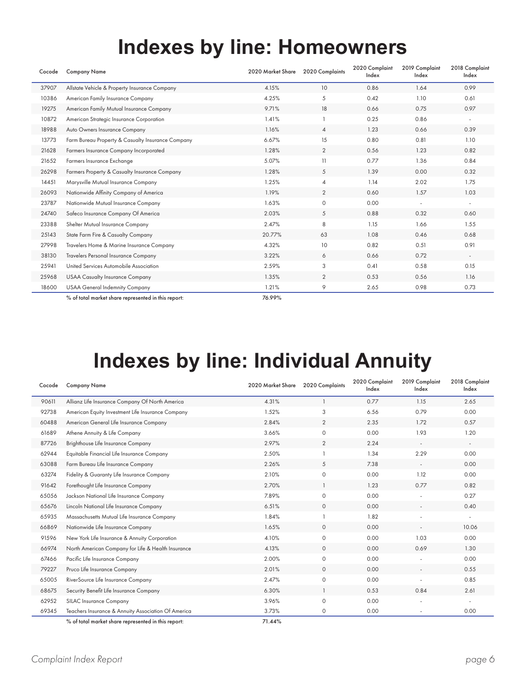# **Indexes by line: Homeowners**

| Cocode | <b>Company Name</b>                                 | 2020 Market Share | 2020 Complaints | 2020 Complaint<br>Index | 2019 Complaint<br>Index | 2018 Complaint<br>Index |
|--------|-----------------------------------------------------|-------------------|-----------------|-------------------------|-------------------------|-------------------------|
| 37907  | Allstate Vehicle & Property Insurance Company       | 4.15%             | 10              | 0.86                    | 1.64                    | 0.99                    |
| 10386  | American Family Insurance Company                   | 4.25%             | 5               | 0.42                    | 1.10                    | 0.61                    |
| 19275  | American Family Mutual Insurance Company            | 9.71%             | 18              | 0.66                    | 0.75                    | 0.97                    |
| 10872  | American Strategic Insurance Corporation            | 1.41%             |                 | 0.25                    | 0.86                    |                         |
| 18988  | Auto Owners Insurance Company                       | 1.16%             | $\overline{4}$  | 1.23                    | 0.66                    | 0.39                    |
| 13773  | Farm Bureau Property & Casualty Insurance Company   | 6.67%             | 15              | 0.80                    | 0.81                    | 1.10                    |
| 21628  | Farmers Insurance Company Incorporated              | 1.28%             | 2               | 0.56                    | 1.23                    | 0.82                    |
| 21652  | Farmers Insurance Exchange                          | 5.07%             | 11              | 0.77                    | 1.36                    | 0.84                    |
| 26298  | Farmers Property & Casualty Insurance Company       | 1.28%             | 5               | 1.39                    | 0.00                    | 0.32                    |
| 14451  | Marysville Mutual Insurance Company                 | 1.25%             | $\overline{4}$  | 1.14                    | 2.02                    | 1.75                    |
| 26093  | Nationwide Affinity Company of America              | 1.19%             | 2               | 0.60                    | 1.57                    | 1.03                    |
| 23787  | Nationwide Mutual Insurance Company                 | 1.63%             | $\circ$         | 0.00                    | $\sim$                  |                         |
| 24740  | Safeco Insurance Company Of America                 | 2.03%             | 5               | 0.88                    | 0.32                    | 0.60                    |
| 23388  | Shelter Mutual Insurance Company                    | 2.47%             | 8               | 1.15                    | 1.66                    | 1.55                    |
| 25143  | State Farm Fire & Casualty Company                  | 20.77%            | 63              | 1.08                    | 0.46                    | 0.68                    |
| 27998  | Travelers Home & Marine Insurance Company           | 4.32%             | 10              | 0.82                    | 0.51                    | 0.91                    |
| 38130  | Travelers Personal Insurance Company                | 3.22%             | 6               | 0.66                    | 0.72                    | $\sim$                  |
| 25941  | United Services Automobile Association              | 2.59%             | 3               | 0.41                    | 0.58                    | 0.15                    |
| 25968  | <b>USAA Casualty Insurance Company</b>              | 1.35%             | 2               | 0.53                    | 0.56                    | 1.16                    |
| 18600  | <b>USAA General Indemnity Company</b>               | 1.21%             | 9               | 2.65                    | 0.98                    | 0.73                    |
|        | % of total market share represented in this report: | 76.99%            |                 |                         |                         |                         |

# **Indexes by line: Individual Annuity**

| Cocode | <b>Company Name</b>                                              | 2020 Market Share | 2020 Complaints | 2020 Complaint<br>Index | 2019 Complaint<br>Index  | 2018 Complaint<br>Index |
|--------|------------------------------------------------------------------|-------------------|-----------------|-------------------------|--------------------------|-------------------------|
| 90611  | Allianz Life Insurance Company Of North America                  | 4.31%             |                 | 0.77                    | 1.15                     | 2.65                    |
| 92738  | American Equity Investment Life Insurance Company                | 1.52%             | 3               | 6.56                    | 0.79                     | 0.00                    |
| 60488  | American General Life Insurance Company                          | 2.84%             | $\overline{2}$  | 2.35                    | 1.72                     | 0.57                    |
| 61689  | Athene Annuity & Life Company                                    | 3.66%             | $\circ$         | 0.00                    | 1.93                     | 1.20                    |
| 87726  | Brighthouse Life Insurance Company                               | 2.97%             | $\overline{2}$  | 2.24                    | $\overline{\phantom{a}}$ | $\sim$                  |
| 62944  | Equitable Financial Life Insurance Company                       | 2.50%             |                 | 1.34                    | 2.29                     | 0.00                    |
| 63088  | Farm Bureau Life Insurance Company                               | 2.26%             | 5               | 7.38                    |                          | 0.00                    |
| 63274  | Fidelity & Guaranty Life Insurance Company                       | 2.10%             | $\circ$         | 0.00                    | 1.12                     | 0.00                    |
| 91642  | Forethought Life Insurance Company                               | 2.70%             | $\mathbf{1}$    | 1.23                    | 0.77                     | 0.82                    |
| 65056  | Jackson National Life Insurance Company                          | 7.89%             | $\circ$         | 0.00                    |                          | 0.27                    |
| 65676  | Lincoln National Life Insurance Company                          | 6.51%             | $\circ$         | 0.00                    |                          | 0.40                    |
| 65935  | Massachusetts Mutual Life Insurance Company                      | 1.84%             |                 | 1.82                    |                          |                         |
| 66869  | Nationwide Life Insurance Company                                | 1.65%             | $\circ$         | 0.00                    |                          | 10.06                   |
| 91596  | New York Life Insurance & Annuity Corporation                    | 4.10%             | 0               | 0.00                    | 1.03                     | 0.00                    |
| 66974  | North American Company for Life & Health Insurance               | 4.13%             | $\circ$         | 0.00                    | 0.69                     | 1.30                    |
| 67466  | Pacific Life Insurance Company                                   | 2.00%             | 0               | 0.00                    |                          | 0.00                    |
| 79227  | Pruco Life Insurance Company                                     | 2.01%             | $\circ$         | 0.00                    |                          | 0.55                    |
| 65005  | RiverSource Life Insurance Company                               | 2.47%             | $\circ$         | 0.00                    |                          | 0.85                    |
| 68675  | Security Benefit Life Insurance Company                          | 6.30%             | $\mathbf{1}$    | 0.53                    | 0.84                     | 2.61                    |
| 62952  | <b>SILAC Insurance Company</b>                                   | 3.96%             | $\circ$         | 0.00                    |                          |                         |
| 69345  | Teachers Insurance & Annuity Association Of America              | 3.73%             | 0               | 0.00                    |                          | 0.00                    |
|        | 0/ - fitting as a death dealer a component of the third and cate | 71.4.40/          |                 |                         |                          |                         |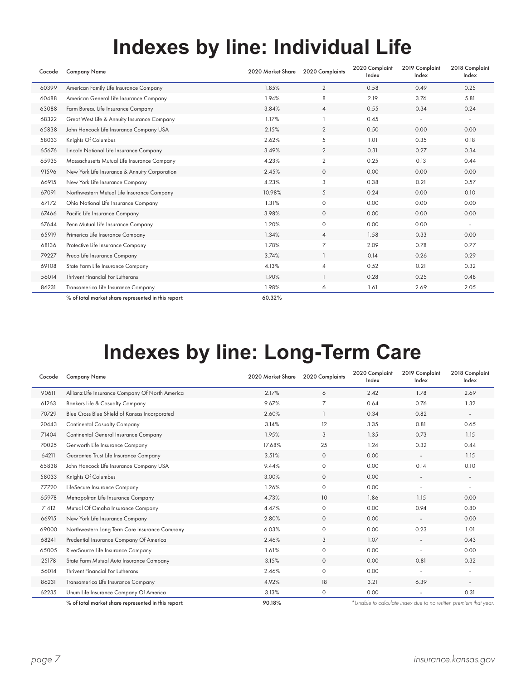# **Indexes by line: Individual Life**

| Cocode | <b>Company Name</b>                                 | 2020 Market Share | 2020 Complaints | 2020 Complaint<br>Index | 2019 Complaint<br>Index | 2018 Complaint<br>Index |
|--------|-----------------------------------------------------|-------------------|-----------------|-------------------------|-------------------------|-------------------------|
| 60399  | American Family Life Insurance Company              | 1.85%             | $\overline{2}$  | 0.58                    | 0.49                    | 0.25                    |
| 60488  | American General Life Insurance Company             | 1.94%             | 8               | 2.19                    | 3.76                    | 5.81                    |
| 63088  | Farm Bureau Life Insurance Company                  | 3.84%             | $\overline{4}$  | 0.55                    | 0.34                    | 0.24                    |
| 68322  | Great West Life & Annuity Insurance Company         | 1.17%             |                 | 0.45                    |                         |                         |
| 65838  | John Hancock Life Insurance Company USA             | 2.15%             | $\overline{2}$  | 0.50                    | 0.00                    | 0.00                    |
| 58033  | Knights Of Columbus                                 | 2.62%             | 5               | 1.01                    | 0.35                    | 0.18                    |
| 65676  | Lincoln National Life Insurance Company             | 3.49%             | $\overline{2}$  | 0.31                    | 0.27                    | 0.34                    |
| 65935  | Massachusetts Mutual Life Insurance Company         | 4.23%             | $\overline{2}$  | 0.25                    | 0.13                    | 0.44                    |
| 91596  | New York Life Insurance & Annuity Corporation       | 2.45%             | $\circ$         | 0.00                    | 0.00                    | 0.00                    |
| 66915  | New York Life Insurance Company                     | 4.23%             | 3               | 0.38                    | 0.21                    | 0.57                    |
| 67091  | Northwestern Mutual Life Insurance Company          | 10.98%            | 5               | 0.24                    | 0.00                    | 0.10                    |
| 67172  | Ohio National Life Insurance Company                | 1.31%             | $\circ$         | 0.00                    | 0.00                    | 0.00                    |
| 67466  | Pacific Life Insurance Company                      | 3.98%             | $\circ$         | 0.00                    | 0.00                    | 0.00                    |
| 67644  | Penn Mutual Life Insurance Company                  | 1.20%             | $\Omega$        | 0.00                    | 0.00                    | $\sim$                  |
| 65919  | Primerica Life Insurance Company                    | 1.34%             | $\overline{4}$  | 1.58                    | 0.33                    | 0.00                    |
| 68136  | Protective Life Insurance Company                   | 1.78%             | $\overline{7}$  | 2.09                    | 0.78                    | 0.77                    |
| 79227  | Pruco Life Insurance Company                        | 3.74%             |                 | 0.14                    | 0.26                    | 0.29                    |
| 69108  | State Farm Life Insurance Company                   | 4.13%             | $\overline{4}$  | 0.52                    | 0.21                    | 0.32                    |
| 56014  | Thrivent Financial For Lutherans                    | 1.90%             |                 | 0.28                    | 0.25                    | 0.48                    |
| 86231  | Transamerica Life Insurance Company                 | 1.98%             | 6               | 1.61                    | 2.69                    | 2.05                    |
|        | % of total market share represented in this report: | 60.32%            |                 |                         |                         |                         |

# **Indexes by line: Long-Term Care**

| Cocode | <b>Company Name</b>                                 | 2020 Market Share | 2020 Complaints | 2020 Complaint<br>Index                                         | 2019 Complaint<br>Index | 2018 Complaint<br>Index  |  |
|--------|-----------------------------------------------------|-------------------|-----------------|-----------------------------------------------------------------|-------------------------|--------------------------|--|
| 90611  | Allianz Life Insurance Company Of North America     | 2.17%             | 6               | 2.42                                                            | 1.78                    | 2.69                     |  |
| 61263  | <b>Bankers Life &amp; Casualty Company</b>          | 9.67%             | $\overline{7}$  | 0.64                                                            | 0.76                    | 1.32                     |  |
| 70729  | Blue Cross Blue Shield of Kansas Incorporated       | 2.60%             |                 | 0.34                                                            | 0.82                    |                          |  |
| 20443  | <b>Continental Casualty Company</b>                 | 3.14%             | 12              | 3.35                                                            | 0.81                    | 0.65                     |  |
| 71404  | Continental General Insurance Company               | 1.95%             | 3               | 1.35                                                            | 0.73                    | 1.15                     |  |
| 70025  | Genworth Life Insurance Company                     | 17.68%            | 25              | 1.24                                                            | 0.32                    | 0.44                     |  |
| 64211  | Guarantee Trust Life Insurance Company              | 3.51%             | $\circ$         | 0.00                                                            | $\sim$                  | 1.15                     |  |
| 65838  | John Hancock Life Insurance Company USA             | 9.44%             | $\circ$         | 0.00                                                            | 0.14                    | 0.10                     |  |
| 58033  | Knights Of Columbus                                 | 3.00%             | $\circ$         | 0.00                                                            |                         |                          |  |
| 77720  | LifeSecure Insurance Company                        | 1.26%             | $\Omega$        | 0.00                                                            |                         | ٠                        |  |
| 65978  | Metropolitan Life Insurance Company                 | 4.73%             | 10 <sup>°</sup> | 1.86                                                            | 1.15                    | 0.00                     |  |
| 71412  | Mutual Of Omaha Insurance Company                   | 4.47%             | $\circ$         | 0.00                                                            | 0.94                    | 0.80                     |  |
| 66915  | New York Life Insurance Company                     | 2.80%             | $\circ$         | 0.00                                                            | $\sim$                  | 0.00                     |  |
| 69000  | Northwestern Long Term Care Insurance Company       | 6.03%             | $\Omega$        | 0.00                                                            | 0.23                    | 1.01                     |  |
| 68241  | Prudential Insurance Company Of America             | 2.46%             | 3               | 1.07                                                            |                         | 0.43                     |  |
| 65005  | RiverSource Life Insurance Company                  | 1.61%             | $\circ$         | 0.00                                                            |                         | 0.00                     |  |
| 25178  | State Farm Mutual Auto Insurance Company            | 3.15%             | $\circ$         | 0.00                                                            | 0.81                    | 0.32                     |  |
| 56014  | <b>Thrivent Financial For Lutherans</b>             | 2.46%             | $\circ$         | 0.00                                                            |                         | ٠                        |  |
| 86231  | Transamerica Life Insurance Company                 | 4.92%             | 18              | 3.21                                                            | 6.39                    | $\overline{\phantom{a}}$ |  |
| 62235  | Unum Life Insurance Company Of America              | 3.13%             | $\Omega$        | 0.00                                                            |                         | 0.31                     |  |
|        | % of total market share represented in this report: | 90.18%            |                 | *Unable to calculate index due to no written premium that year. |                         |                          |  |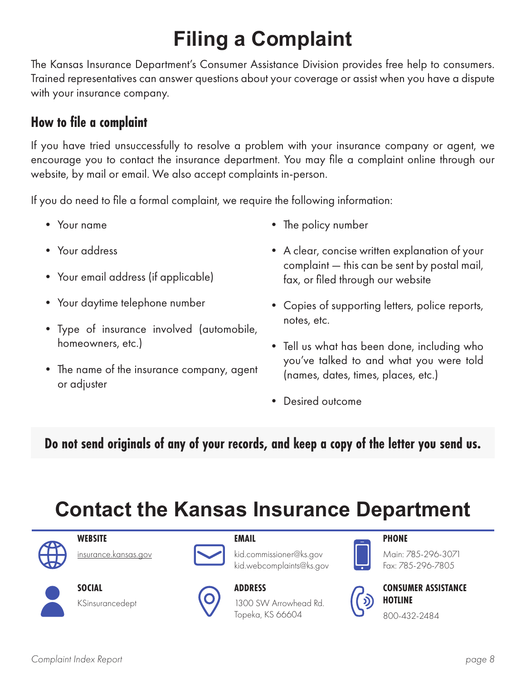# **Filing a Complaint**

The Kansas Insurance Department's Consumer Assistance Division provides free help to consumers. Trained representatives can answer questions about your coverage or assist when you have a dispute with your insurance company.

### **How to file a complaint**

If you have tried unsuccessfully to resolve a problem with your insurance company or agent, we encourage you to contact the insurance department. You may file a complaint online through our website, by mail or email. We also accept complaints in-person.

If you do need to file a formal complaint, we require the following information:

- Your name
- Your address
- Your email address (if applicable)
- Your daytime telephone number
- Type of insurance involved (automobile, homeowners, etc.)
- The name of the insurance company, agent or adjuster
- The policy number
- A clear, concise written explanation of your complaint — this can be sent by postal mail, fax, or filed through our website
- Copies of supporting letters, police reports, notes, etc.
- Tell us what has been done, including who you've talked to and what you were told (names, dates, times, places, etc.)
- Desired outcome

### **Do not send originals of any of your records, and keep a copy of the letter you send us.**

# **Contact the Kansas Insurance Department**



**WEBSITE**





KSinsurancedept



### **EMAIL**

**ADDRESS**

kid.commissioner@ks.gov

1300 SW Arrowhead Rd. Topeka, KS 66604

kid.webcomplaints@ks.gov



Main: 785-296-3071 Fax: 785-296-7805

**PHONE**



**CONSUMER ASSISTANCE HOTLINE** 800-432-2484